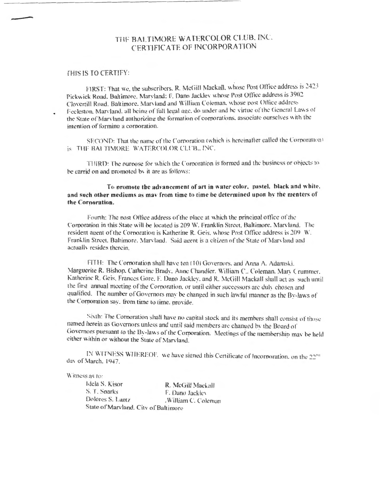## THE BALTIMORE WATERCOLOR CLUB. INC. CERTIFICATE OF INCORPORATION

## THIS IS TO CERTIFY:

FIRST: That we, the subscribers, R. McGill Mackall, whose Post Office address is 2423 Pickwick Road, Baltimore, Marvland; F. Dano Jackley whose Post Office address is 3902 Clovertill Road. Baltimore, Maryland and William Coleman, whose post Office address Feeleston, Maryland, all being of full legal age, do under and he virtue of the General Laws of the State of Maryland authorizing the formation of corporations, associate ourselves with the intention of forming a corporation.

SECOND: That the name of the Corporation (which is hereinafter called the Corporation) is THE BALTIMORE WATERCOLOR CLUB., INC.

THIRD: The nurpose for which the Corporation is formed and the business or objects to be carrid on and promoted by it are as follows:

To promote the advancement of art in water color, pastel, black and white. and such other mediums as may from time to time be determined upon by the menters of the Cornoration.

Fourth: The post Office address of the place at which the principal office of the Corporation in this State will be located is 209 W. Franklin Street, Baltimore, Marvland. The resident agent of the Corporation is Katherine R. Geis, whose Post Office address is 209 W. Franklin Street, Baltimore, Maryland. Said agent is a citizen of the State of Maryland and actually resides therein.

FITH: The Corporation shall have ten (10) Governors, and Anna A. Adamski. Marguerite R. Bishop, Catherine Brady, Anne Chandler, William C., Coleman, Mary Crummer, Katherine R. Geis, Frances Gore, F. Dano Jackley, and R. McGill Mackall shall act as such until the first annual meeting of the Corporation, or until either successors are duly chosen and qualified. The number of Governors may be changed in such lawful manner as the By-laws of the Corporation say, from time to time, provide.

Sixth: The Corporation shall have no capital stock and its members shall consist of those named herein as Governors unless and until said members are changed by the Board of Governors pursuant to the By-laws of the Corporation. Meetings of the membership may be held either within or without the State of Maryland.

IN WITNESS WHEREOF, we have signed this Certificate of Incorporation, on the 22<sup>no</sup> day of March, 1947.

## Witness as to:

Idela S. Kisor R. McGill Mackal S. T. Sparks F. Dano Jackley Dolores S. Lantz .William C. Coleman State of Maryland, City of Baltimore